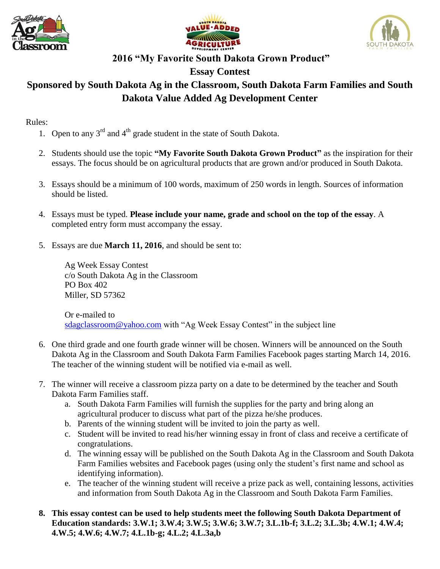





# **2016 "My Favorite South Dakota Grown Product"**

## **Essay Contest**

## **Sponsored by South Dakota Ag in the Classroom, South Dakota Farm Families and South Dakota Value Added Ag Development Center**

#### Rules:

- 1. Open to any  $3^{rd}$  and  $4^{th}$  grade student in the state of South Dakota.
- 2. Students should use the topic **"My Favorite South Dakota Grown Product"** as the inspiration for their essays. The focus should be on agricultural products that are grown and/or produced in South Dakota.
- 3. Essays should be a minimum of 100 words, maximum of 250 words in length. Sources of information should be listed.
- 4. Essays must be typed. **Please include your name, grade and school on the top of the essay**. A completed entry form must accompany the essay.
- 5. Essays are due **March 11, 2016**, and should be sent to:

Ag Week Essay Contest c/o South Dakota Ag in the Classroom PO Box 402 Miller, SD 57362

Or e-mailed to [sdagclassroom@yahoo.com](mailto:sdagclassroom@yahoo.com) with "Ag Week Essay Contest" in the subject line

- 6. One third grade and one fourth grade winner will be chosen. Winners will be announced on the South Dakota Ag in the Classroom and South Dakota Farm Families Facebook pages starting March 14, 2016. The teacher of the winning student will be notified via e-mail as well.
- 7. The winner will receive a classroom pizza party on a date to be determined by the teacher and South Dakota Farm Families staff.
	- a. South Dakota Farm Families will furnish the supplies for the party and bring along an agricultural producer to discuss what part of the pizza he/she produces.
	- b. Parents of the winning student will be invited to join the party as well.
	- c. Student will be invited to read his/her winning essay in front of class and receive a certificate of congratulations.
	- d. The winning essay will be published on the South Dakota Ag in the Classroom and South Dakota Farm Families websites and Facebook pages (using only the student's first name and school as identifying information).
	- e. The teacher of the winning student will receive a prize pack as well, containing lessons, activities and information from South Dakota Ag in the Classroom and South Dakota Farm Families.
- **8. This essay contest can be used to help students meet the following South Dakota Department of Education standards: 3.W.1; 3.W.4; 3.W.5; 3.W.6; 3.W.7; 3.L.1b-f; 3.L.2; 3.L.3b; 4.W.1; 4.W.4; 4.W.5; 4.W.6; 4.W.7; 4.L.1b-g; 4.L.2; 4.L.3a,b**